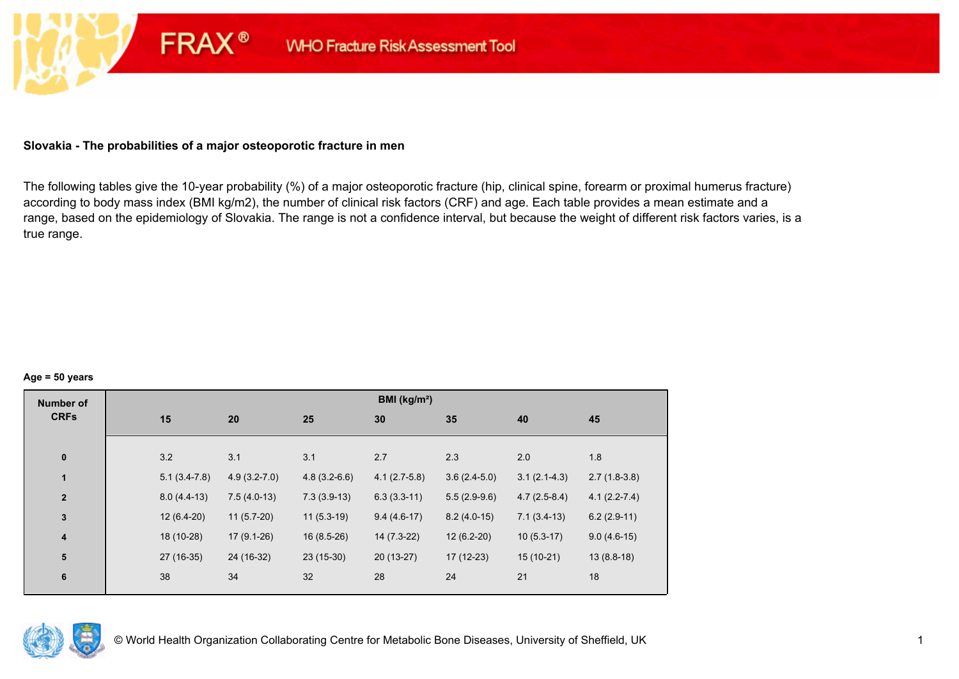## **Slovakia - The probabilities of a major osteoporotic fracture in men**

**FRAX®** 

The following tables give the 10-year probability (%) of a major osteoporotic fracture (hip, clinical spine, forearm or proximal humerus fracture) according to body mass index (BMI kg/m2), the number of clinical risk factors (CRF) and age. Each table provides a mean estimate and a range, based on the epidemiology of Slovakia. The range is not a confidence interval, but because the weight of different risk factors varies, is a true range.

#### **Age = 50 years**

| <b>Number of</b> |     |                                    |                | BMI (kg/m <sup>2</sup> ) |                |                |                  |
|------------------|-----|------------------------------------|----------------|--------------------------|----------------|----------------|------------------|
| <b>CRFs</b>      | 15  | 20                                 | 25             | 30                       | 35             | 40             | 45               |
|                  |     |                                    |                |                          |                |                |                  |
| $\pmb{0}$        | 3.2 | 3.1                                | 3.1            | 2.7                      | 2.3            | 2.0            | 1.8              |
| $\mathbf{1}$     |     | $4.9(3.2 - 7.0)$<br>$5.1(3.4-7.8)$ | $4.8(3.2-6.6)$ | $4.1(2.7-5.8)$           | $3.6(2.4-5.0)$ | $3.1(2.1-4.3)$ | $2.7(1.8-3.8)$   |
| $\mathbf{2}$     |     | $7.5(4.0-13)$<br>$8.0(4.4-13)$     | $7.3(3.9-13)$  | $6.3(3.3-11)$            | $5.5(2.9-9.6)$ | $4.7(2.5-8.4)$ | $4.1(2.2 - 7.4)$ |
| $\mathbf{3}$     |     | $11(5.7-20)$<br>$12(6.4-20)$       | $11(5.3-19)$   | $9.4(4.6-17)$            | $8.2(4.0-15)$  | $7.1(3.4-13)$  | $6.2(2.9-11)$    |
| $\boldsymbol{4}$ |     | 18 (10-28)<br>$17(9.1-26)$         | $16(8.5-26)$   | 14 (7.3-22)              | $12(6.2-20)$   | $10(5.3-17)$   | $9.0(4.6-15)$    |
| 5                |     | 27 (16-35)<br>24 (16-32)           | $23(15-30)$    | $20(13-27)$              | $17(12-23)$    | $15(10-21)$    | $13(8.8-18)$     |
| $\bf 6$          | 38  | 34                                 | 32             | 28                       | 24             | 21             | 18               |
|                  |     |                                    |                |                          |                |                |                  |

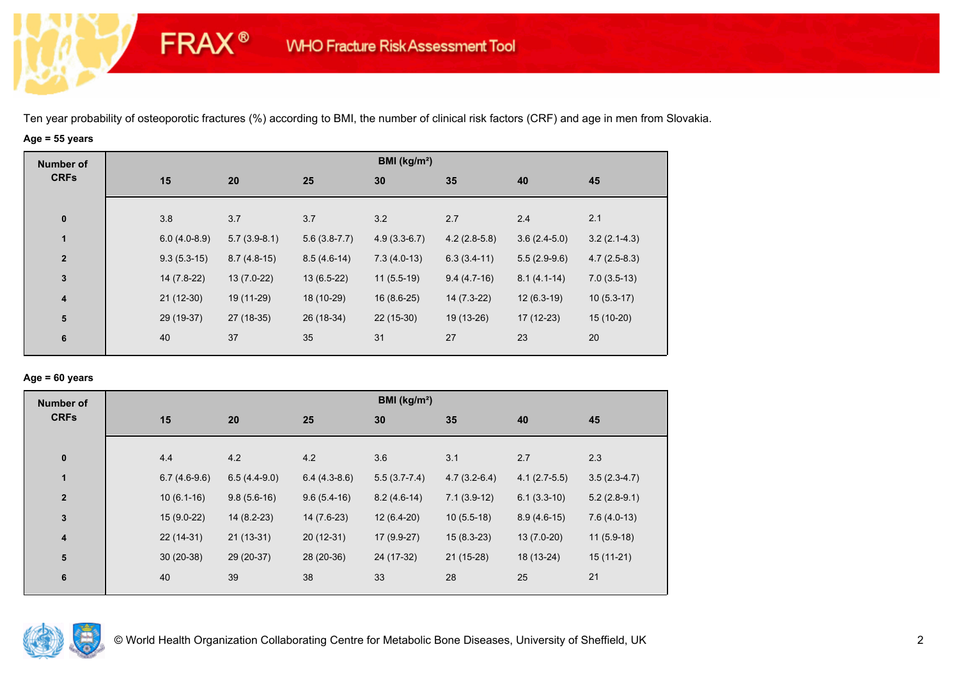# **Age = 55 years**

**FRAX®** 

| <b>Number of</b> |                |                |                | BMI (kg/m <sup>2</sup> ) |                |                |                |
|------------------|----------------|----------------|----------------|--------------------------|----------------|----------------|----------------|
| <b>CRFs</b>      | 15             | 20             | 25             | 30                       | 35             | 40             | 45             |
| $\mathbf 0$      | 3.8            | 3.7            | 3.7            | 3.2                      | 2.7            | 2.4            | 2.1            |
| $\mathbf{1}$     | $6.0(4.0-8.9)$ | $5.7(3.9-8.1)$ | $5.6(3.8-7.7)$ | $4.9(3.3-6.7)$           | $4.2(2.8-5.8)$ | $3.6(2.4-5.0)$ | $3.2(2.1-4.3)$ |
| $\overline{2}$   | $9.3(5.3-15)$  | $8.7(4.8-15)$  | $8.5(4.6-14)$  | $7.3(4.0-13)$            | $6.3(3.4-11)$  | $5.5(2.9-9.6)$ | $4.7(2.5-8.3)$ |
| $\mathbf 3$      | 14 (7.8-22)    | $13(7.0-22)$   | $13(6.5-22)$   | $11(5.5-19)$             | $9.4(4.7-16)$  | $8.1(4.1-14)$  | $7.0(3.5-13)$  |
| 4                | $21(12-30)$    | 19 (11-29)     | 18 (10-29)     | $16(8.6-25)$             | $14(7.3-22)$   | $12(6.3-19)$   | $10(5.3-17)$   |
| ${\bf 5}$        | 29 (19-37)     | 27 (18-35)     | 26 (18-34)     | $22(15-30)$              | 19 (13-26)     | $17(12-23)$    | $15(10-20)$    |
| 6                | 40             | 37             | 35             | 31                       | 27             | 23             | 20             |

## **Age = 60 years**

| <b>Number of</b>        |                |                |                | BMI ( $kg/m2$ ) |                |                |                |
|-------------------------|----------------|----------------|----------------|-----------------|----------------|----------------|----------------|
| <b>CRFs</b>             | 15             | 20             | 25             | 30              | 35             | 40             | 45             |
| $\mathbf 0$             | 4.4            | 4.2            | 4.2            | 3.6             | 3.1            | 2.7            | 2.3            |
| $\mathbf{1}$            | $6.7(4.6-9.6)$ | $6.5(4.4-9.0)$ | $6.4(4.3-8.6)$ | $5.5(3.7-7.4)$  | $4.7(3.2-6.4)$ | $4.1(2.7-5.5)$ | $3.5(2.3-4.7)$ |
| $\overline{2}$          | $10(6.1-16)$   | $9.8(5.6-16)$  | $9.6(5.4-16)$  | $8.2(4.6-14)$   | $7.1(3.9-12)$  | $6.1(3.3-10)$  | $5.2(2.8-9.1)$ |
| $\mathbf{3}$            | $15(9.0-22)$   | $14(8.2-23)$   | 14 (7.6-23)    | $12(6.4-20)$    | $10(5.5-18)$   | $8.9(4.6-15)$  | $7.6(4.0-13)$  |
| $\overline{\mathbf{4}}$ | $22(14-31)$    | $21(13-31)$    | $20(12-31)$    | 17 (9.9-27)     | $15(8.3-23)$   | $13(7.0-20)$   | $11(5.9-18)$   |
| 5                       | $30(20-38)$    | 29 (20-37)     | 28 (20-36)     | 24 (17-32)      | $21(15-28)$    | 18 (13-24)     | $15(11-21)$    |
| 6                       | 40             | 39             | 38             | 33              | 28             | 25             | 21             |

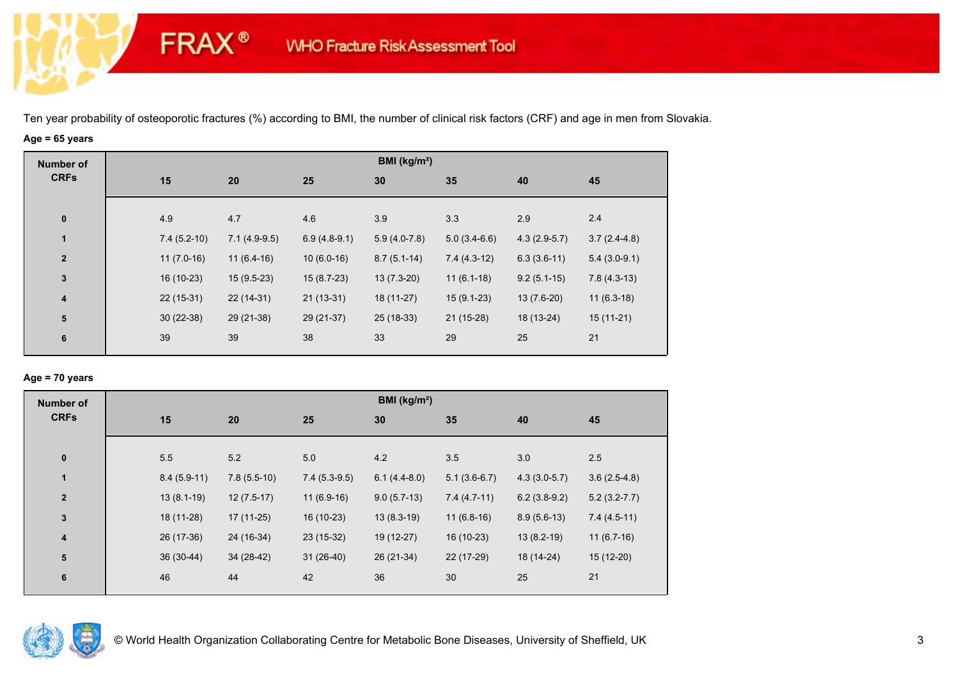# **Age = 65 years**

**FRAX®** 

| <b>Number of</b> |               |                |                | BMI (kg/m <sup>2</sup> ) |                |                |                |
|------------------|---------------|----------------|----------------|--------------------------|----------------|----------------|----------------|
| <b>CRFs</b>      | 15            | 20             | 25             | 30                       | 35             | 40             | 45             |
| $\bf{0}$         | 4.9           | 4.7            | 4.6            | 3.9                      | 3.3            | 2.9            | 2.4            |
| $\mathbf{1}$     | $7.4(5.2-10)$ | $7.1(4.9-9.5)$ | $6.9(4.8-9.1)$ | $5.9(4.0-7.8)$           | $5.0(3.4-6.6)$ | $4.3(2.9-5.7)$ | $3.7(2.4-4.8)$ |
| $\overline{2}$   | $11(7.0-16)$  | $11(6.4-16)$   | $10(6.0-16)$   | $8.7(5.1-14)$            | $7.4(4.3-12)$  | $6.3(3.6-11)$  | $5.4(3.0-9.1)$ |
| $\mathbf 3$      | 16 (10-23)    | $15(9.5-23)$   | $15(8.7-23)$   | $13(7.3-20)$             | $11(6.1-18)$   | $9.2(5.1-15)$  | $7.8(4.3-13)$  |
| 4                | $22(15-31)$   | $22(14-31)$    | $21(13-31)$    | 18 (11-27)               | $15(9.1-23)$   | $13(7.6-20)$   | $11(6.3-18)$   |
| ${\bf 5}$        | $30(22-38)$   | 29 (21-38)     | 29 (21-37)     | 25 (18-33)               | $21(15-28)$    | 18 (13-24)     | $15(11-21)$    |
| 6                | 39            | 39             | 38             | 33                       | 29             | 25             | 21             |
|                  |               |                |                |                          |                |                |                |

## **Age = 70 years**

| <b>Number of</b>        |               |               |                | BMI (kg/m <sup>2</sup> ) |                |                |                  |
|-------------------------|---------------|---------------|----------------|--------------------------|----------------|----------------|------------------|
| <b>CRFs</b>             | 15            | 20            | 25             | 30                       | 35             | 40             | 45               |
| $\pmb{0}$               | 5.5           | 5.2           | 5.0            | 4.2                      | 3.5            | 3.0            | 2.5              |
| 1                       | $8.4(5.9-11)$ | $7.8(5.5-10)$ | $7.4(5.3-9.5)$ | $6.1(4.4-8.0)$           | $5.1(3.6-6.7)$ | $4.3(3.0-5.7)$ | $3.6(2.5-4.8)$   |
| $\overline{2}$          | $13(8.1-19)$  | $12(7.5-17)$  | $11(6.9-16)$   | $9.0(5.7-13)$            | $7.4(4.7-11)$  | $6.2(3.8-9.2)$ | $5.2(3.2 - 7.7)$ |
| $\mathbf 3$             | 18 (11-28)    | $17(11-25)$   | 16 (10-23)     | $13(8.3-19)$             | $11(6.8-16)$   | $8.9(5.6-13)$  | $7.4(4.5-11)$    |
| $\overline{\mathbf{4}}$ | 26 (17-36)    | 24 (16-34)    | 23 (15-32)     | 19 (12-27)               | 16 (10-23)     | $13(8.2-19)$   | $11(6.7-16)$     |
| ${\bf 5}$               | $36(30-44)$   | 34 (28-42)    | $31(26-40)$    | 26 (21-34)               | 22 (17-29)     | 18 (14-24)     | $15(12-20)$      |
| 6                       | 46            | 44            | 42             | 36                       | 30             | 25             | 21               |

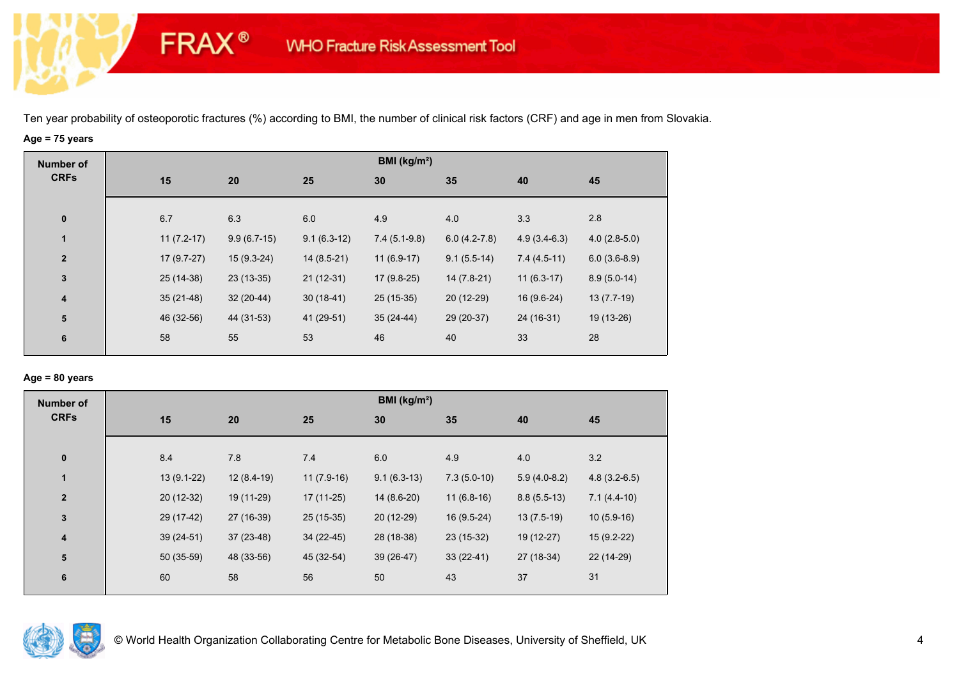# **Age = 75 years**

**FRAX®** 

| <b>Number of</b>        |              |               |               | BMI (kg/m <sup>2</sup> ) |                |                |                |
|-------------------------|--------------|---------------|---------------|--------------------------|----------------|----------------|----------------|
| <b>CRFs</b>             | 15           | 20            | 25            | 30                       | 35             | 40             | 45             |
| $\pmb{0}$               | 6.7          | 6.3           | 6.0           | 4.9                      | 4.0            | 3.3            | 2.8            |
| $\mathbf{1}$            | $11(7.2-17)$ | $9.9(6.7-15)$ | $9.1(6.3-12)$ | $7.4(5.1-9.8)$           | $6.0(4.2-7.8)$ | $4.9(3.4-6.3)$ | $4.0(2.8-5.0)$ |
| $\overline{2}$          | $17(9.7-27)$ | $15(9.3-24)$  | $14(8.5-21)$  | $11(6.9-17)$             | $9.1(5.5-14)$  | $7.4(4.5-11)$  | $6.0(3.6-8.9)$ |
| $\mathbf{3}$            | 25 (14-38)   | $23(13-35)$   | $21(12-31)$   | $17(9.8-25)$             | $14(7.8-21)$   | $11(6.3-17)$   | $8.9(5.0-14)$  |
| $\overline{\mathbf{4}}$ | $35(21-48)$  | $32(20-44)$   | $30(18-41)$   | 25 (15-35)               | 20 (12-29)     | 16 (9.6-24)    | $13(7.7-19)$   |
| ${\bf 5}$               | 46 (32-56)   | 44 (31-53)    | 41 (29-51)    | $35(24-44)$              | 29 (20-37)     | 24 (16-31)     | 19 (13-26)     |
| 6                       | 58           | 55            | 53            | 46                       | 40             | 33             | 28             |
|                         |              |               |               |                          |                |                |                |

## **Age = 80 years**

| <b>Number of</b>        |              |              |              | BMI (kg/m <sup>2</sup> ) |               |                |                |
|-------------------------|--------------|--------------|--------------|--------------------------|---------------|----------------|----------------|
| <b>CRFs</b>             | 15           | 20           | 25           | 30                       | 35            | 40             | 45             |
| $\pmb{0}$               | 8.4          | 7.8          | 7.4          | 6.0                      | 4.9           | 4.0            | 3.2            |
| 1                       | $13(9.1-22)$ | $12(8.4-19)$ | $11(7.9-16)$ | $9.1(6.3-13)$            | $7.3(5.0-10)$ | $5.9(4.0-8.2)$ | $4.8(3.2-6.5)$ |
| $\overline{2}$          | $20(12-32)$  | 19 (11-29)   | $17(11-25)$  | 14 (8.6-20)              | $11(6.8-16)$  | $8.8(5.5-13)$  | $7.1(4.4-10)$  |
| $\mathbf 3$             | 29 (17-42)   | 27 (16-39)   | $25(15-35)$  | 20 (12-29)               | $16(9.5-24)$  | $13(7.5-19)$   | $10(5.9-16)$   |
| $\overline{\mathbf{4}}$ | $39(24-51)$  | $37(23-48)$  | $34(22-45)$  | 28 (18-38)               | 23 (15-32)    | 19 (12-27)     | $15(9.2-22)$   |
| ${\bf 5}$               | 50 (35-59)   | 48 (33-56)   | 45 (32-54)   | $39(26-47)$              | $33(22-41)$   | 27 (18-34)     | 22 (14-29)     |
| 6                       | 60           | 58           | 56           | 50                       | 43            | 37             | 31             |